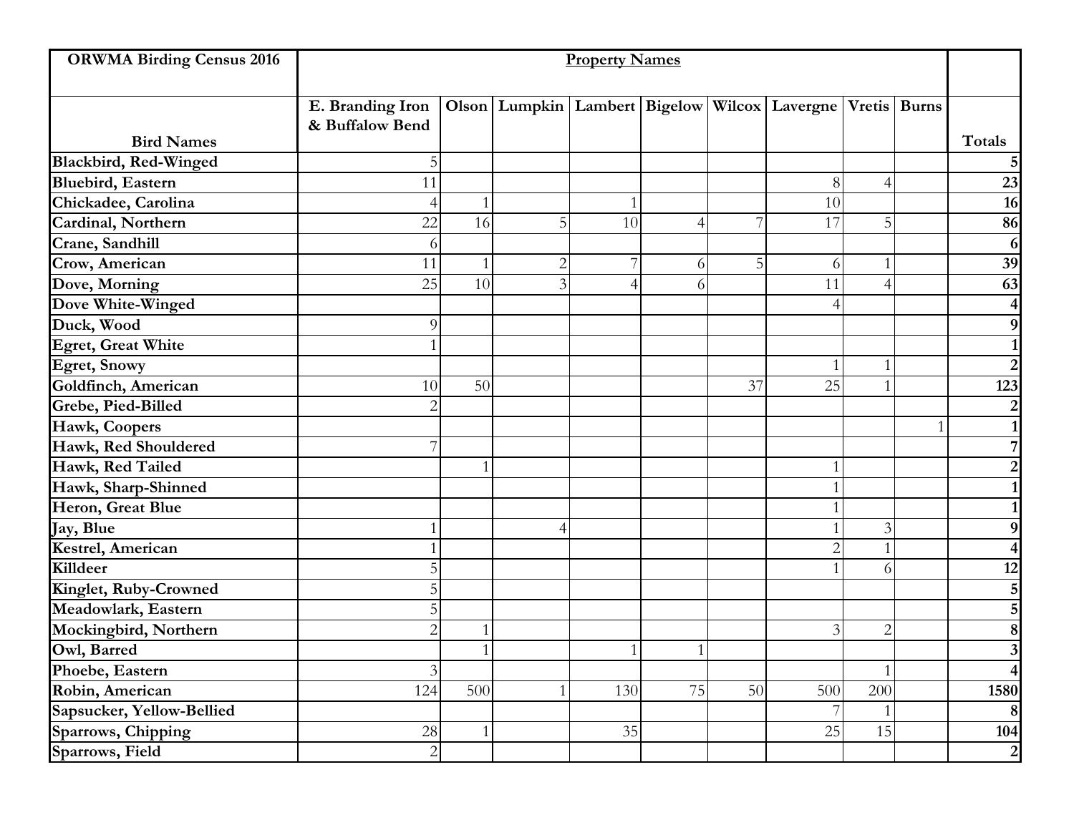| <b>ORWMA Birding Census 2016</b> | <b>Property Names</b>               |              |                |     |    |    |                                                                          |                |  |                         |
|----------------------------------|-------------------------------------|--------------|----------------|-----|----|----|--------------------------------------------------------------------------|----------------|--|-------------------------|
|                                  | E. Branding Iron<br>& Buffalow Bend |              |                |     |    |    | Olson   Lumpkin   Lambert   Bigelow   Wilcox   Lavergne   Vretis   Burns |                |  |                         |
| <b>Bird Names</b>                |                                     |              |                |     |    |    |                                                                          |                |  | Totals                  |
| <b>Blackbird, Red-Winged</b>     | 5                                   |              |                |     |    |    |                                                                          |                |  | 5 <sub>l</sub>          |
| <b>Bluebird</b> , Eastern        | 11                                  |              |                |     |    |    | 8                                                                        | $\overline{4}$ |  | 23                      |
| Chickadee, Carolina              | 4                                   | 1            |                |     |    |    | 10                                                                       |                |  | 16                      |
| Cardinal, Northern               | 22                                  | 16           | 5              | 10  | 4  | 7  | 17                                                                       | 5 <sub>1</sub> |  | 86                      |
| Crane, Sandhill                  | 6                                   |              |                |     |    |    |                                                                          |                |  | 6                       |
| Crow, American                   | 11                                  |              | $\overline{c}$ |     | 6  | 5  | 6                                                                        |                |  | 39                      |
| Dove, Morning                    | 25                                  | 10           | 3              |     | 6  |    | 11                                                                       | $\overline{4}$ |  | 63                      |
| Dove White-Winged                |                                     |              |                |     |    |    | 4                                                                        |                |  | $\overline{4}$          |
| Duck, Wood                       | 9                                   |              |                |     |    |    |                                                                          |                |  | 9                       |
| <b>Egret, Great White</b>        |                                     |              |                |     |    |    |                                                                          |                |  | 1 <sup>1</sup>          |
| <b>Egret, Snowy</b>              |                                     |              |                |     |    |    | $\mathbf 1$                                                              |                |  | $\overline{2}$          |
| Goldfinch, American              | 10                                  | 50           |                |     |    | 37 | 25                                                                       |                |  | 123                     |
| Grebe, Pied-Billed               | 2                                   |              |                |     |    |    |                                                                          |                |  | $\overline{2}$          |
| Hawk, Coopers                    |                                     |              |                |     |    |    |                                                                          |                |  | $1\overline{ }$         |
| Hawk, Red Shouldered             |                                     |              |                |     |    |    |                                                                          |                |  | 7                       |
| Hawk, Red Tailed                 |                                     |              |                |     |    |    |                                                                          |                |  | $\overline{c}$          |
| Hawk, Sharp-Shinned              |                                     |              |                |     |    |    |                                                                          |                |  | $\mathbf{1}$            |
| Heron, Great Blue                |                                     |              |                |     |    |    |                                                                          |                |  | $\mathbf{1}$            |
| Jay, Blue                        |                                     |              | 4              |     |    |    |                                                                          | $\mathfrak{Z}$ |  | 9                       |
| Kestrel, American                |                                     |              |                |     |    |    | $\overline{2}$                                                           | $\mathbf{1}$   |  | $\overline{\mathbf{4}}$ |
| Killdeer                         |                                     |              |                |     |    |    |                                                                          | 6              |  | 12                      |
| Kinglet, Ruby-Crowned            |                                     |              |                |     |    |    |                                                                          |                |  | 5                       |
| Meadowlark, Eastern              |                                     |              |                |     |    |    |                                                                          |                |  | $\overline{5}$          |
| Mockingbird, Northern            | $\overline{2}$                      |              |                |     |    |    | 3                                                                        | $\mathbf{2}$   |  | $\overline{\bf 8}$      |
| Owl, Barred                      |                                     |              |                |     | -1 |    |                                                                          |                |  | 3 <sup>l</sup>          |
| Phoebe, Eastern                  | 3                                   |              |                |     |    |    |                                                                          | 1              |  | $\vert$                 |
| Robin, American                  | 124                                 | 500          |                | 130 | 75 | 50 | 500                                                                      | 200            |  | 1580                    |
| Sapsucker, Yellow-Bellied        |                                     |              |                |     |    |    | 7                                                                        | $\mathbf{1}$   |  | 8 <sup>1</sup>          |
| Sparrows, Chipping               | 28                                  | $\mathbf{1}$ |                | 35  |    |    | 25                                                                       | 15             |  | 104                     |
| Sparrows, Field                  | $\mathbf{2}$                        |              |                |     |    |    |                                                                          |                |  | $\overline{2}$          |